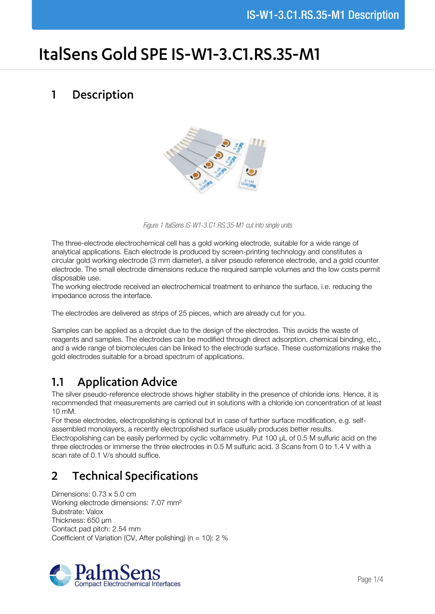# ItalSens Gold SPE IS-W1-3.C1.RS.35-M1

#### Description  $\mathbf{1}$



*Figure 1 ItalSens IS-W1-3.C1.RS.35-M1 cut into single units*

The three-electrode electrochemical cell has a gold working electrode, suitable for a wide range of analytical applications. Each electrode is produced by screen-printing technology and constitutes a circular gold working electrode (3 mm diameter), a silver pseudo reference electrode, and a gold counter electrode. The small electrode dimensions reduce the required sample volumes and the low costs permit disposable use.

The working electrode received an electrochemical treatment to enhance the surface, i.e. reducing the impedance across the interface.

The electrodes are delivered as strips of 25 pieces, which are already cut for you.

Samples can be applied as a droplet due to the design of the electrodes. This avoids the waste of reagents and samples. The electrodes can be modified through direct adsorption, chemical binding, etc., and a wide range of biomolecules can be linked to the electrode surface. These customizations make the gold electrodes suitable for a broad spectrum of applications.

## **Application Advice**  $1.1$

The silver pseudo-reference electrode shows higher stability in the presence of chloride ions. Hence, it is recommended that measurements are carried out in solutions with a chloride ion concentration of at least 10 mM.

For these electrodes, electropolishing is optional but in case of further surface modification, e.g. selfassembled monolayers, a recently electropolished surface usually produces better results.

Electropolishing can be easily performed by cyclic voltammetry. Put 100 µL of 0.5 M sulfuric acid on the three electrodes or immerse the three electrodes in 0.5 M sulfuric acid. 3 Scans from 0 to 1.4 V with a scan rate of 0.1 V/s should suffice.

## **Technical Specifications**  $\overline{\mathbf{z}}$

Dimensions: 0.73 x 5.0 cm Working electrode dimensions: 7.07 mm² Substrate: Valox Thickness: 650 µm Contact pad pitch: 2.54 mm Coefficient of Variation (CV, After polishing) ( $n = 10$ ): 2 %

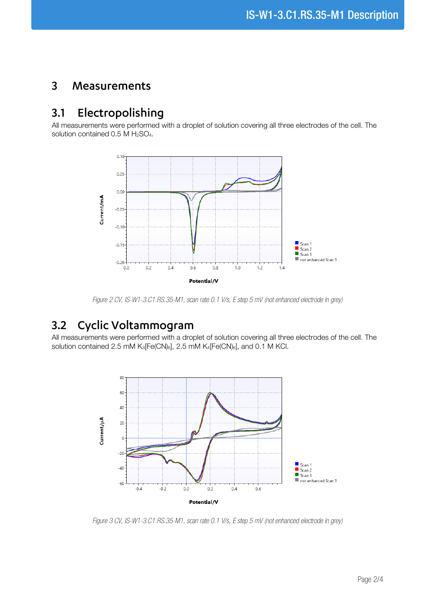#### $\overline{3}$ Measurements

## Electropolishing  $3.1$

All measurements were performed with a droplet of solution covering all three electrodes of the cell. The solution contained  $0.5$  M  $H<sub>2</sub>SO<sub>4</sub>$ .



*Figure 2 CV, IS-W1-3.C1.RS.35-M1, scan rate 0.1 V/s, E step 5 mV (not enhanced electrode in grey)*

# Cyclic Voltammogram  $3.2$

All measurements were performed with a droplet of solution covering all three electrodes of the cell. The solution contained 2.5 mM K<sub>3</sub>[Fe(CN)<sub>6</sub>], 2.5 mM K<sub>4</sub>[Fe(CN)<sub>6</sub>], and 0.1 M KCl.



*Figure 3 CV, IS-W1-3.C1.RS.35-M1, scan rate 0.1 V/s, E step 5 mV (not enhanced electrode in grey)*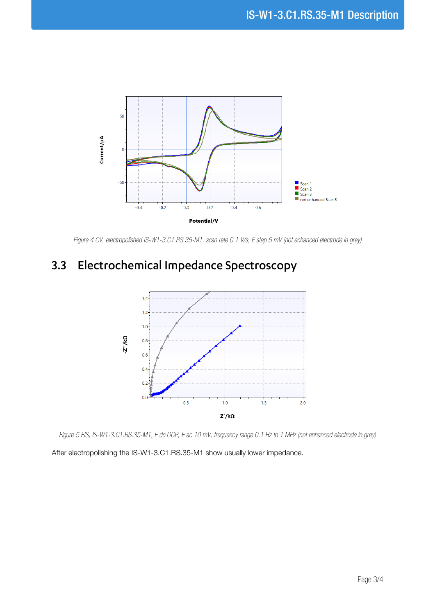

*Figure 4 CV, electropolished IS-W1-3.C1.RS.35-M1, scan rate 0.1 V/s, E step 5 mV (not enhanced electrode in grey)*

# Electrochemical Impedance Spectroscopy  $3.3$



*Figure 5 EIS, IS-W1-3.C1.RS.35-M1, E dc OCP, E ac 10 mV, frequency range 0.1 Hz to 1 MHz (not enhanced electrode in grey)*

After electropolishing the IS-W1-3.C1.RS.35-M1 show usually lower impedance.